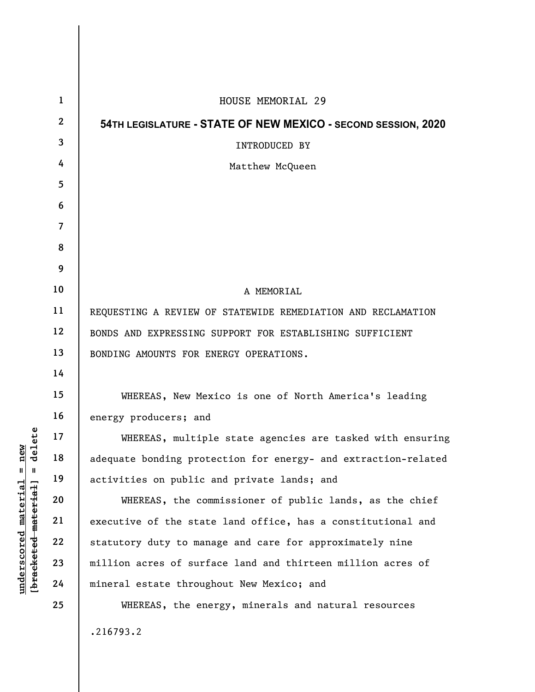| $\mathbf{1}$ | HOUSE MEMORIAL 29                                              |
|--------------|----------------------------------------------------------------|
| $\mathbf{2}$ | 54TH LEGISLATURE - STATE OF NEW MEXICO - SECOND SESSION, 2020  |
| 3            | <b>INTRODUCED BY</b>                                           |
| 4            | Matthew McQueen                                                |
| 5            |                                                                |
| 6            |                                                                |
| 7            |                                                                |
| 8            |                                                                |
| 9            |                                                                |
| 10           | A MEMORIAL                                                     |
| 11           | REQUESTING A REVIEW OF STATEWIDE REMEDIATION AND RECLAMATION   |
| 12           | BONDS AND EXPRESSING SUPPORT FOR ESTABLISHING SUFFICIENT       |
| 13           | BONDING AMOUNTS FOR ENERGY OPERATIONS.                         |
| 14           |                                                                |
| 15           | WHEREAS, New Mexico is one of North America's leading          |
| 16           | energy producers; and                                          |
| 17           | WHEREAS, multiple state agencies are tasked with ensuring      |
| 18           | adequate bonding protection for energy- and extraction-related |
| 19           | activities on public and private lands; and                    |
| 20           | WHEREAS, the commissioner of public lands, as the chief        |
| 21           | executive of the state land office, has a constitutional and   |
| 22           | statutory duty to manage and care for approximately nine       |
| 23           | million acres of surface land and thirteen million acres of    |
| 24           | mineral estate throughout New Mexico; and                      |
| 25           | WHEREAS, the energy, minerals and natural resources            |
|              | .216793.2                                                      |

**underscored material = new [bracketed material] = delete**

 $[**bracket eted metert et**] = **del et e**$  $underscored material = new$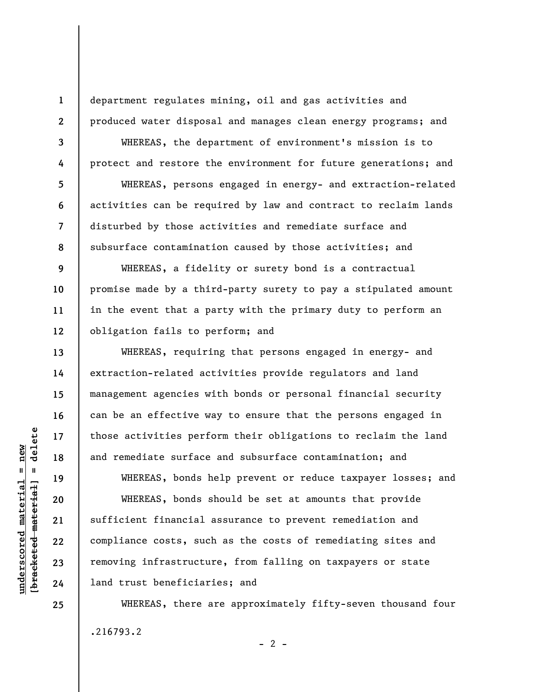**1 2** 

**3** 

**4** 

**5** 

**6** 

**7** 

**8** 

**9** 

**10** 

**11** 

**12** 

**13** 

**14** 

**15** 

**16** 

**17** 

**18** 

**19** 

**20** 

**21** 

**22** 

**23** 

**24** 

**25** 

department regulates mining, oil and gas activities and produced water disposal and manages clean energy programs; and

WHEREAS, the department of environment's mission is to protect and restore the environment for future generations; and WHEREAS, persons engaged in energy- and extraction-related activities can be required by law and contract to reclaim lands disturbed by those activities and remediate surface and subsurface contamination caused by those activities; and

WHEREAS, a fidelity or surety bond is a contractual promise made by a third-party surety to pay a stipulated amount in the event that a party with the primary duty to perform an obligation fails to perform; and

WHEREAS, requiring that persons engaged in energy- and extraction-related activities provide regulators and land management agencies with bonds or personal financial security can be an effective way to ensure that the persons engaged in those activities perform their obligations to reclaim the land and remediate surface and subsurface contamination; and

WHEREAS, bonds help prevent or reduce taxpayer losses; and WHEREAS, bonds should be set at amounts that provide sufficient financial assurance to prevent remediation and compliance costs, such as the costs of remediating sites and removing infrastructure, from falling on taxpayers or state land trust beneficiaries; and

WHEREAS, there are approximately fifty-seven thousand four .216793.2  $- 2 -$ 

 $\frac{1}{2}$  intereted material = delete **[bracketed material] = delete**  $underscored material = new$ **underscored material = new**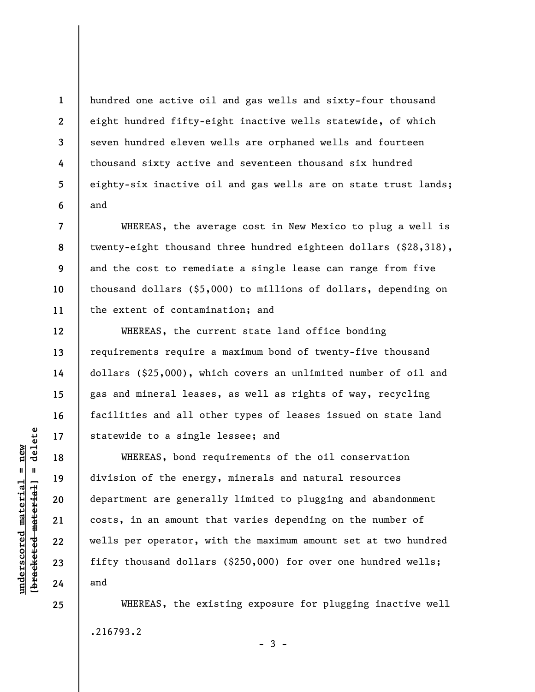hundred one active oil and gas wells and sixty-four thousand eight hundred fifty-eight inactive wells statewide, of which seven hundred eleven wells are orphaned wells and fourteen thousand sixty active and seventeen thousand six hundred eighty-six inactive oil and gas wells are on state trust lands; and

WHEREAS, the average cost in New Mexico to plug a well is twenty-eight thousand three hundred eighteen dollars (\$28,318), and the cost to remediate a single lease can range from five thousand dollars (\$5,000) to millions of dollars, depending on the extent of contamination; and

WHEREAS, the current state land office bonding requirements require a maximum bond of twenty-five thousand dollars (\$25,000), which covers an unlimited number of oil and gas and mineral leases, as well as rights of way, recycling facilities and all other types of leases issued on state land statewide to a single lessee; and

WHEREAS, bond requirements of the oil conservation division of the energy, minerals and natural resources department are generally limited to plugging and abandonment costs, in an amount that varies depending on the number of wells per operator, with the maximum amount set at two hundred fifty thousand dollars (\$250,000) for over one hundred wells; and

WHEREAS, the existing exposure for plugging inactive well .216793.2  $-3 -$ 

delete **[bracketed material] = delete**  $underscored$  material = new **underscored material = new**  $\frac{1}{2}$  = [44-beted material]

**25** 

**1** 

**2** 

**3** 

**4** 

**5** 

**6** 

**7** 

**8** 

**9** 

**10** 

**11** 

**12** 

**13** 

**14** 

**15** 

**16** 

**17** 

**18** 

**19** 

**20** 

**21** 

**22** 

**23** 

**24**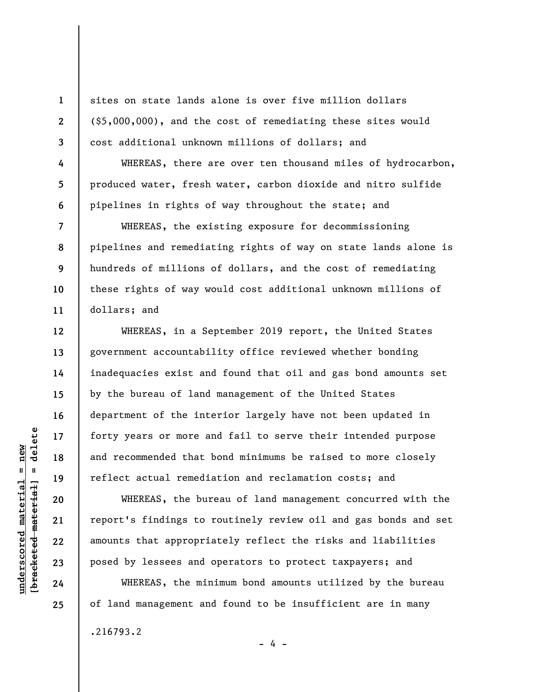sites on state lands alone is over five million dollars (\$5,000,000), and the cost of remediating these sites would cost additional unknown millions of dollars; and

WHEREAS, there are over ten thousand miles of hydrocarbon, produced water, fresh water, carbon dioxide and nitro sulfide pipelines in rights of way throughout the state; and

WHEREAS, the existing exposure for decommissioning pipelines and remediating rights of way on state lands alone is hundreds of millions of dollars, and the cost of remediating these rights of way would cost additional unknown millions of dollars; and

WHEREAS, in a September 2019 report, the United States government accountability office reviewed whether bonding inadequacies exist and found that oil and gas bond amounts set by the bureau of land management of the United States department of the interior largely have not been updated in forty years or more and fail to serve their intended purpose and recommended that bond minimums be raised to more closely reflect actual remediation and reclamation costs; and

WHEREAS, the bureau of land management concurred with the report's findings to routinely review oil and gas bonds and set amounts that appropriately reflect the risks and liabilities posed by lessees and operators to protect taxpayers; and

WHEREAS, the minimum bond amounts utilized by the bureau of land management and found to be insufficient are in many

- 4 -

.216793.2

 $\frac{1}{2}$  intereted material = delete **[bracketed material] = delete**  $underscored$  material = new **underscored material = new**

**1** 

**2** 

**3** 

**4** 

**5** 

**6** 

**7** 

**8** 

**9** 

**10** 

**11** 

**12** 

**13** 

**14** 

**15** 

**16** 

**17** 

**18** 

**19** 

**20** 

**21** 

**22** 

**23** 

**24** 

**25**